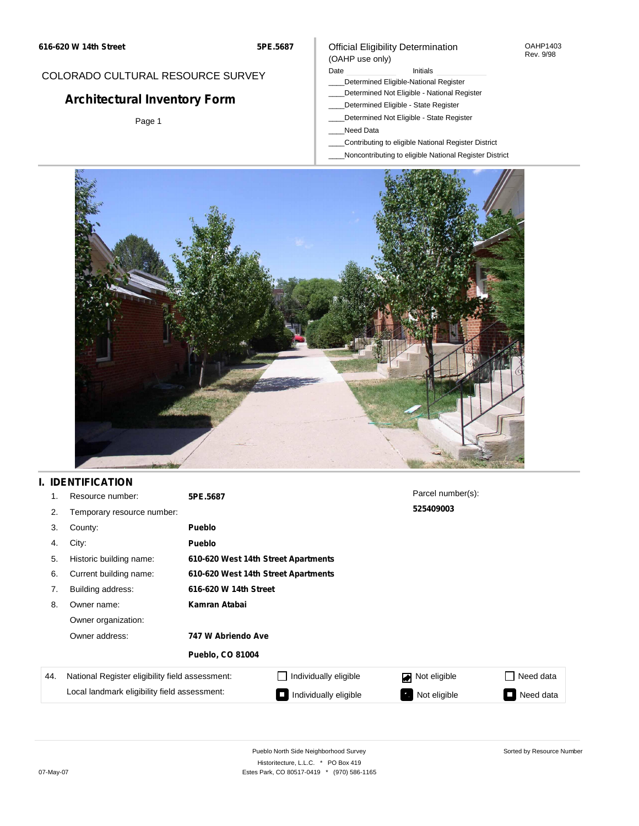**5PE.5687**

# COLORADO CULTURAL RESOURCE SURVEY

# **Architectural Inventory Form**

Page 1

### Official Eligibility Determination (OAHP use only)

Date **Initials** Initials

- \_\_\_\_Determined Eligible-National Register
- \_\_\_\_Determined Not Eligible National Register
- \_\_\_\_Determined Eligible State Register
- \_\_\_\_Determined Not Eligible State Register
- \_\_\_\_Need Data
- \_\_\_\_Contributing to eligible National Register District
- \_\_\_\_Noncontributing to eligible National Register District



# **I. IDENTIFICATION**

| 1.  | Resource number:                                | 5PE.5687                            |                       | Parcel number(s): |           |
|-----|-------------------------------------------------|-------------------------------------|-----------------------|-------------------|-----------|
| 2.  | Temporary resource number:                      |                                     |                       | 525409003         |           |
| 3.  | County:                                         | <b>Pueblo</b>                       |                       |                   |           |
| 4.  | City:                                           | <b>Pueblo</b>                       |                       |                   |           |
| 5.  | Historic building name:                         | 610-620 West 14th Street Apartments |                       |                   |           |
| 6.  | Current building name:                          | 610-620 West 14th Street Apartments |                       |                   |           |
| 7.  | Building address:                               | 616-620 W 14th Street               |                       |                   |           |
| 8.  | Owner name:                                     | Kamran Atabai                       |                       |                   |           |
|     | Owner organization:                             |                                     |                       |                   |           |
|     | Owner address:                                  | 747 W Abriendo Ave                  |                       |                   |           |
|     |                                                 | <b>Pueblo, CO 81004</b>             |                       |                   |           |
| 44. | National Register eligibility field assessment: |                                     | Individually eligible | Not eligible<br>◪ | Need data |
|     | Local landmark eligibility field assessment:    |                                     | Individually eligible | Not eligible      | Need data |

OAHP1403 Rev. 9/98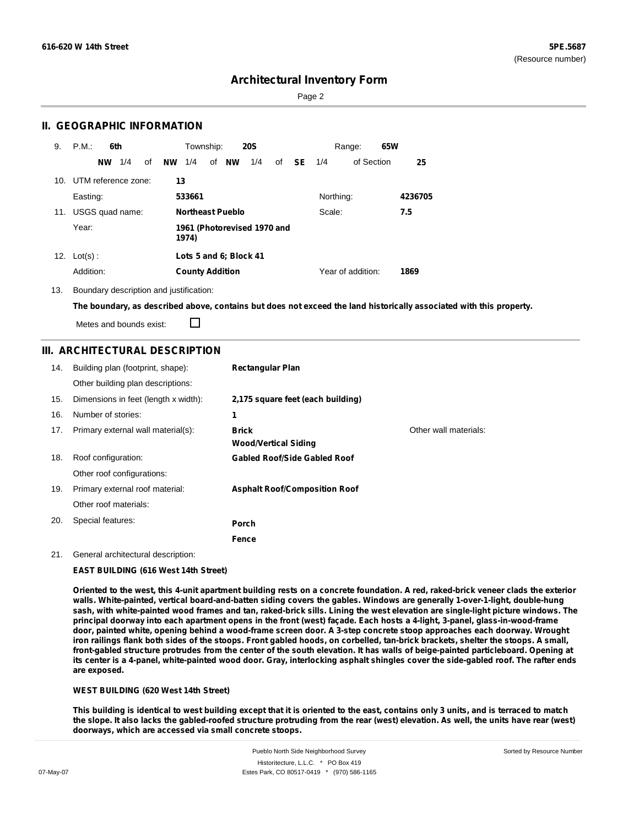Sorted by Resource Number

## **Architectural Inventory Form**

Page 2

### **II. GEOGRAPHIC INFORMATION**

| 9.              | P.M.<br>6th            | Township:<br><b>20S</b>                             | 65W<br>Range:     |         |
|-----------------|------------------------|-----------------------------------------------------|-------------------|---------|
|                 | 1/4<br>of<br><b>NW</b> | <b>NW</b><br>1/4<br>of <b>NW</b><br>1/4<br>SE<br>of | of Section<br>1/4 | 25      |
| 10 <sub>1</sub> | UTM reference zone:    | 13                                                  |                   |         |
|                 | Easting:               | 533661                                              | Northing:         | 4236705 |
| 11.             | USGS quad name:        | <b>Northeast Pueblo</b>                             | Scale:            | 7.5     |
|                 | Year:                  | 1961 (Photorevised 1970 and<br>1974)                |                   |         |
| 12.             | $Lot(s)$ :             | Lots 5 and 6; Block 41                              |                   |         |
|                 | Addition:              | <b>County Addition</b>                              | Year of addition: | 1869    |

13. Boundary description and justification:

The boundary, as described above, contains but does not exceed the land historically associated with this property.

Metes and bounds exist:

П

### **III. ARCHITECTURAL DESCRIPTION**

| 14. | Building plan (footprint, shape):    | <b>Rectangular Plan</b>                     |                       |
|-----|--------------------------------------|---------------------------------------------|-----------------------|
|     | Other building plan descriptions:    |                                             |                       |
| 15. | Dimensions in feet (length x width): | 2,175 square feet (each building)           |                       |
| 16. | Number of stories:                   | 1                                           |                       |
| 17. | Primary external wall material(s):   | <b>Brick</b><br><b>Wood/Vertical Siding</b> | Other wall materials: |
| 18. | Roof configuration:                  | <b>Gabled Roof/Side Gabled Roof</b>         |                       |
|     | Other roof configurations:           |                                             |                       |
| 19. | Primary external roof material:      | <b>Asphalt Roof/Composition Roof</b>        |                       |
|     | Other roof materials:                |                                             |                       |
| 20. | Special features:                    | <b>Porch</b>                                |                       |
|     |                                      | Fence                                       |                       |

#### 21. General architectural description:

#### **EAST BUILDING (616 West 14th Street)**

Oriented to the west, this 4-unit apartment building rests on a concrete foundation. A red, raked-brick veneer clads the exterior **walls. White-painted, vertical board-and-batten siding covers the gables. Windows are generally 1-over-1-light, double-hung** sash, with white-painted wood frames and tan, raked-brick sills. Lining the west elevation are single-light picture windows. The principal doorway into each apartment opens in the front (west) façade. Each hosts a 4-light, 3-panel, glass-in-wood-frame door, painted white, opening behind a wood-frame screen door. A 3-step concrete stoop approaches each doorway. Wrought iron railings flank both sides of the stoops. Front gabled hoods, on corbelled, tan-brick brackets, shelter the stoops. A small, front-gabled structure protrudes from the center of the south elevation. It has walls of beige-painted particleboard. Opening at its center is a 4-panel, white-painted wood door. Gray, interlocking asphalt shingles cover the side-gabled roof. The rafter ends **are exposed.**

### **WEST BUILDING (620 West 14th Street)**

This building is identical to west building except that it is oriented to the east, contains only 3 units, and is terraced to match the slope. It also lacks the gabled-roofed structure protruding from the rear (west) elevation. As well, the units have rear (west) **doorways, which are accessed via small concrete stoops.**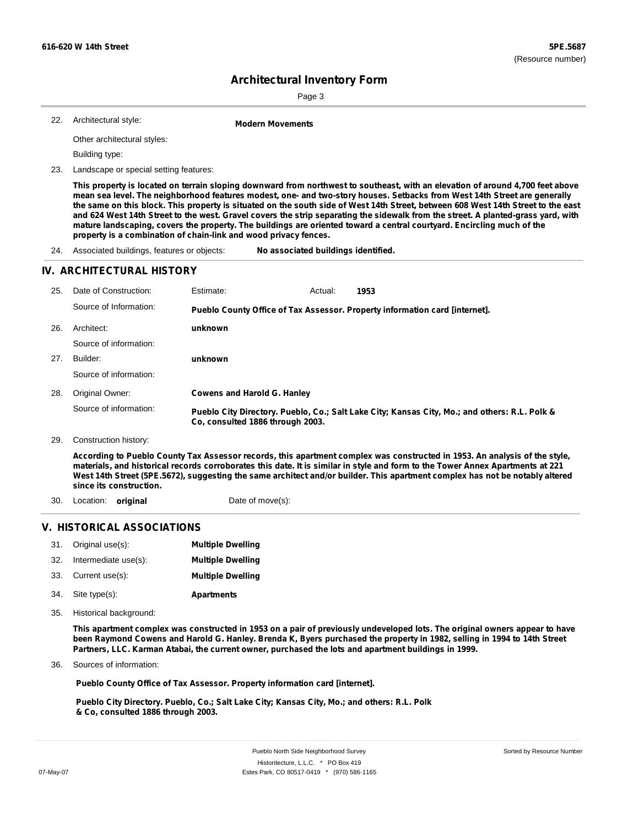Page 3

Architectural style: 22. **Modern Movements**

Other architectural styles:

Building type:

23. Landscape or special setting features:

This property is located on terrain sloping downward from northwest to southeast, with an elevation of around 4,700 feet above mean sea level. The neighborhood features modest, one- and two-story houses. Setbacks from West 14th Street are generally the same on this block. This property is situated on the south side of West 14th Street, between 608 West 14th Street to the east and 624 West 14th Street to the west. Gravel covers the strip separating the sidewalk from the street. A planted-grass yard, with mature landscaping, covers the property. The buildings are oriented toward a central courtyard. Encircling much of the **property is a combination of chain-link and wood privacy fences.**

24. Associated buildings, features or objects: **No associated buildings identified.**

### **IV. ARCHITECTURAL HISTORY**

| 25. | Date of Construction:                                                                                                                                                                                                                                                                                                                                                                                                   | Estimate:                          | Actual: | 1953                                                                                          |
|-----|-------------------------------------------------------------------------------------------------------------------------------------------------------------------------------------------------------------------------------------------------------------------------------------------------------------------------------------------------------------------------------------------------------------------------|------------------------------------|---------|-----------------------------------------------------------------------------------------------|
|     | Source of Information:                                                                                                                                                                                                                                                                                                                                                                                                  |                                    |         | Pueblo County Office of Tax Assessor. Property information card [internet].                   |
| 26. | Architect:                                                                                                                                                                                                                                                                                                                                                                                                              | unknown                            |         |                                                                                               |
|     | Source of information:                                                                                                                                                                                                                                                                                                                                                                                                  |                                    |         |                                                                                               |
| 27. | Builder:                                                                                                                                                                                                                                                                                                                                                                                                                | unknown                            |         |                                                                                               |
|     | Source of information:                                                                                                                                                                                                                                                                                                                                                                                                  |                                    |         |                                                                                               |
| 28. | Original Owner:                                                                                                                                                                                                                                                                                                                                                                                                         | <b>Cowens and Harold G. Hanley</b> |         |                                                                                               |
|     | Source of information:                                                                                                                                                                                                                                                                                                                                                                                                  | Co. consulted 1886 through 2003.   |         | Pueblo City Directory. Pueblo, Co.; Salt Lake City; Kansas City, Mo.; and others: R.L. Polk & |
| 29. | Construction history:                                                                                                                                                                                                                                                                                                                                                                                                   |                                    |         |                                                                                               |
|     | According to Pueblo County Tax Assessor records, this apartment complex was constructed in 1953. An analysis of the style,<br>materials, and historical records corroborates this date. It is similar in style and form to the Tower Annex Apartments at 221<br>West 14th Street (5PE.5672), suggesting the same architect and/or builder. This apartment complex has not be notably altered<br>since its construction. |                                    |         |                                                                                               |

30. Location: **original** Date of move(s):

## **V. HISTORICAL ASSOCIATIONS**

|     | 31. Original use(s): | <b>Multiple Dwelling</b> |
|-----|----------------------|--------------------------|
| 32. | Intermediate use(s): | <b>Multiple Dwelling</b> |
|     | 33. Current use(s):  | <b>Multiple Dwelling</b> |
|     | 34. Site type(s):    | <b>Apartments</b>        |

35. Historical background:

This apartment complex was constructed in 1953 on a pair of previously undeveloped lots. The original owners appear to have been Raymond Cowens and Harold G. Hanley. Brenda K, Byers purchased the property in 1982, selling in 1994 to 14th Street **Partners, LLC. Karman Atabai, the current owner, purchased the lots and apartment buildings in 1999.**

Sources of information: 36.

**Pueblo County Office of Tax Assessor. Property information card [internet].**

**Pueblo City Directory. Pueblo, Co.; Salt Lake City; Kansas City, Mo.; and others: R.L. Polk & Co, consulted 1886 through 2003.**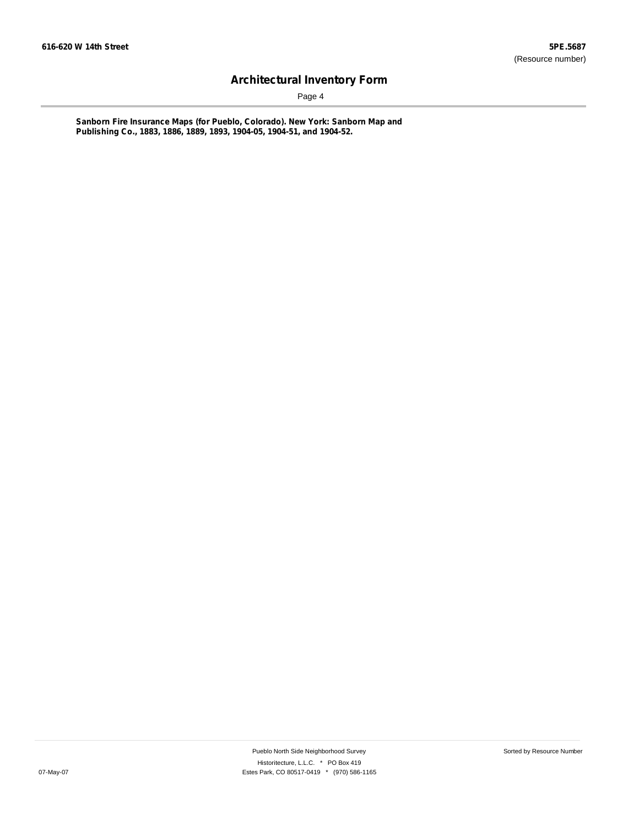Page 4

**Sanborn Fire Insurance Maps (for Pueblo, Colorado). New York: Sanborn Map and Publishing Co., 1883, 1886, 1889, 1893, 1904-05, 1904-51, and 1904-52.**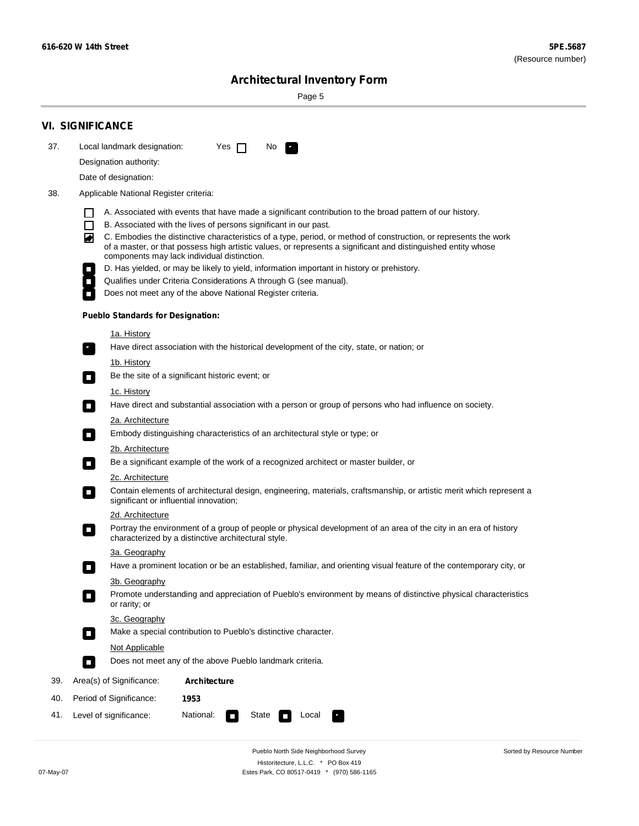Sorted by Resource Number

# **Architectural Inventory Form**

Page 5

|     | <b>VI. SIGNIFICANCE</b>                                                                                                                                                                                           |  |  |  |
|-----|-------------------------------------------------------------------------------------------------------------------------------------------------------------------------------------------------------------------|--|--|--|
| 37. | Local landmark designation:<br>Yes $\Box$<br>No <b>E</b>                                                                                                                                                          |  |  |  |
|     | Designation authority:                                                                                                                                                                                            |  |  |  |
|     | Date of designation:                                                                                                                                                                                              |  |  |  |
| 38. | Applicable National Register criteria:                                                                                                                                                                            |  |  |  |
|     |                                                                                                                                                                                                                   |  |  |  |
|     | A. Associated with events that have made a significant contribution to the broad pattern of our history.<br>B. Associated with the lives of persons significant in our past.                                      |  |  |  |
|     | C. Embodies the distinctive characteristics of a type, period, or method of construction, or represents the work<br>◙                                                                                             |  |  |  |
|     | of a master, or that possess high artistic values, or represents a significant and distinguished entity whose<br>components may lack individual distinction.                                                      |  |  |  |
|     | D. Has yielded, or may be likely to yield, information important in history or prehistory.<br>$\overline{\phantom{a}}$                                                                                            |  |  |  |
|     | Qualifies under Criteria Considerations A through G (see manual).<br>$\overline{\phantom{a}}$                                                                                                                     |  |  |  |
|     | Does not meet any of the above National Register criteria.<br>П                                                                                                                                                   |  |  |  |
|     | <b>Pueblo Standards for Designation:</b>                                                                                                                                                                          |  |  |  |
|     | <u>1a. History</u>                                                                                                                                                                                                |  |  |  |
|     | Have direct association with the historical development of the city, state, or nation; or<br>$\overline{\phantom{a}}$ .                                                                                           |  |  |  |
|     | <u>1b. History</u>                                                                                                                                                                                                |  |  |  |
|     | Be the site of a significant historic event; or<br>$\mathcal{L}_{\mathcal{A}}$                                                                                                                                    |  |  |  |
|     | 1c. History                                                                                                                                                                                                       |  |  |  |
|     | Have direct and substantial association with a person or group of persons who had influence on society.<br>$\mathcal{L}_{\mathcal{A}}$                                                                            |  |  |  |
|     | 2a. Architecture                                                                                                                                                                                                  |  |  |  |
|     | Embody distinguishing characteristics of an architectural style or type; or<br>$\Box$                                                                                                                             |  |  |  |
|     | 2b. Architecture                                                                                                                                                                                                  |  |  |  |
|     | Be a significant example of the work of a recognized architect or master builder, or<br>$\sim$                                                                                                                    |  |  |  |
|     | 2c. Architecture<br>Contain elements of architectural design, engineering, materials, craftsmanship, or artistic merit which represent a<br>$\mathcal{L}_{\mathcal{A}}$<br>significant or influential innovation; |  |  |  |
|     | 2d. Architecture                                                                                                                                                                                                  |  |  |  |
|     | Portray the environment of a group of people or physical development of an area of the city in an era of history<br>$\overline{\phantom{a}}$<br>characterized by a distinctive architectural style.               |  |  |  |
|     | 3a. Geography                                                                                                                                                                                                     |  |  |  |
|     | Have a prominent location or be an established, familiar, and orienting visual feature of the contemporary city, or                                                                                               |  |  |  |
|     | 3b. Geography                                                                                                                                                                                                     |  |  |  |
|     | Promote understanding and appreciation of Pueblo's environment by means of distinctive physical characteristics<br>or rarity; or                                                                                  |  |  |  |
|     | 3c. Geography                                                                                                                                                                                                     |  |  |  |
|     | Make a special contribution to Pueblo's distinctive character.<br>$\Box$                                                                                                                                          |  |  |  |
|     | Not Applicable                                                                                                                                                                                                    |  |  |  |
|     | Does not meet any of the above Pueblo landmark criteria.<br>$\Box$                                                                                                                                                |  |  |  |
| 39. | Area(s) of Significance:<br><b>Architecture</b>                                                                                                                                                                   |  |  |  |
| 40. | Period of Significance:<br>1953                                                                                                                                                                                   |  |  |  |
| 41. | National:<br>Level of significance:<br>State<br>Local<br>т,                                                                                                                                                       |  |  |  |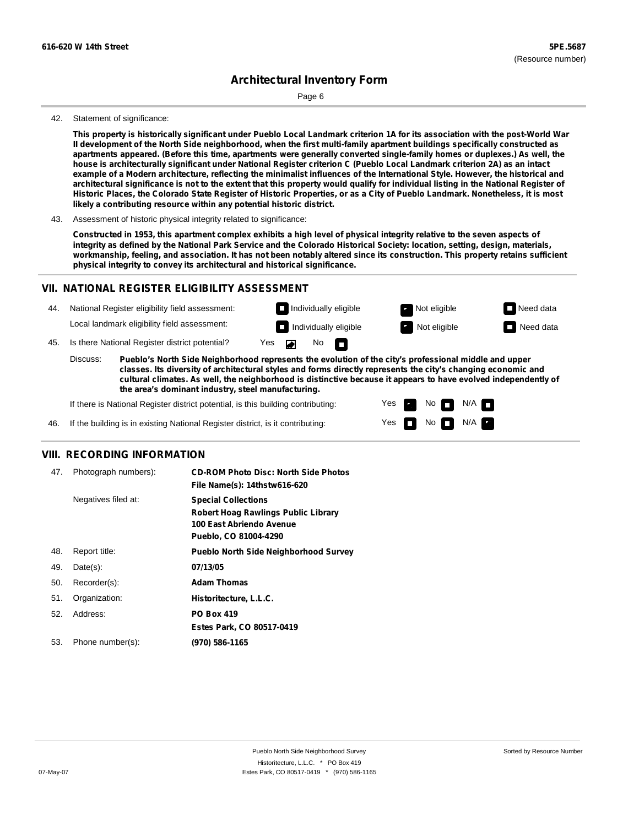Page 6

#### 42. Statement of significance:

This property is historically significant under Pueblo Local Landmark criterion 1A for its association with the post-World War Il development of the North Side neighborhood, when the first multi-family apartment buildings specifically constructed as apartments appeared. (Before this time, apartments were generally converted single-family homes or duplexes.) As well, the house is architecturally significant under National Register criterion C (Pueblo Local Landmark criterion 2A) as an intact example of a Modern architecture, reflecting the minimalist influences of the International Style. However, the historical and architectural significance is not to the extent that this property would qualify for individual listing in the National Register of Historic Places, the Colorado State Register of Historic Properties, or as a City of Pueblo Landmark. Nonetheless, it is most **likely a contributing resource within any potential historic district.**

Constructed in 1953, this apartment complex exhibits a high level of physical integrity relative to the seven aspects of integrity as defined by the National Park Service and the Colorado Historical Society: location, setting, design, materials, workmanship, feeling, and association. It has not been notably altered since its construction. This property retains sufficient **physical integrity to convey its architectural and historical significance.**

### **VII. NATIONAL REGISTER ELIGIBILITY ASSESSMENT**

44. National Register eligibility field assessment: Local landmark eligibility field assessment:

**Individually eligible Not eligible** Not eligible **Need data Individually eligible Not eligible** Not eligible **Need data** No<sub>D</sub>  $\blacksquare$ 

45. Is there National Register district potential? Yes

**Pueblo's North Side Neighborhood represents the evolution of the city's professional middle and upper classes. Its diversity of architectural styles and forms directly represents the city's changing economic and cultural climates. As well, the neighborhood is distinctive because it appears to have evolved independently of the area's dominant industry, steel manufacturing.** Discuss:

> Yes Yes

No

 $No$  N/A

N/A

If there is National Register district potential, is this building contributing:



### **VIII. RECORDING INFORMATION**

| 47. | Photograph numbers): | <b>CD-ROM Photo Disc: North Side Photos</b><br>File Name(s): 14thstw616-620                                                   |
|-----|----------------------|-------------------------------------------------------------------------------------------------------------------------------|
|     | Negatives filed at:  | <b>Special Collections</b><br><b>Robert Hoag Rawlings Public Library</b><br>100 East Abriendo Avenue<br>Pueblo, CO 81004-4290 |
| 48. | Report title:        | <b>Pueblo North Side Neighborhood Survey</b>                                                                                  |
| 49. | $Date(s)$ :          | 07/13/05                                                                                                                      |
| 50. | Recorder(s):         | <b>Adam Thomas</b>                                                                                                            |
| 51. | Organization:        | Historitecture, L.L.C.                                                                                                        |
| 52. | Address:             | <b>PO Box 419</b>                                                                                                             |
|     |                      | Estes Park, CO 80517-0419                                                                                                     |
| 53. | Phone number(s):     | (970) 586-1165                                                                                                                |

<sup>43.</sup> Assessment of historic physical integrity related to significance: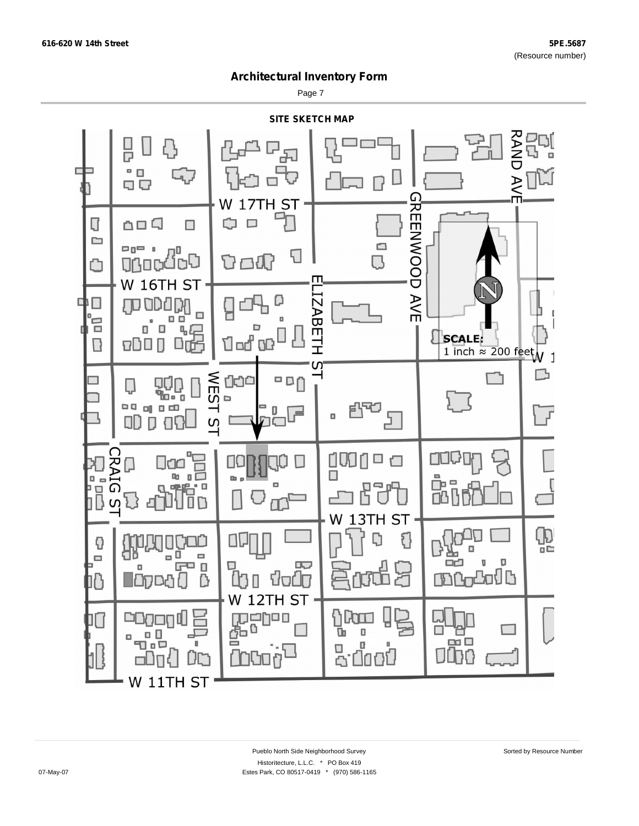Page 7